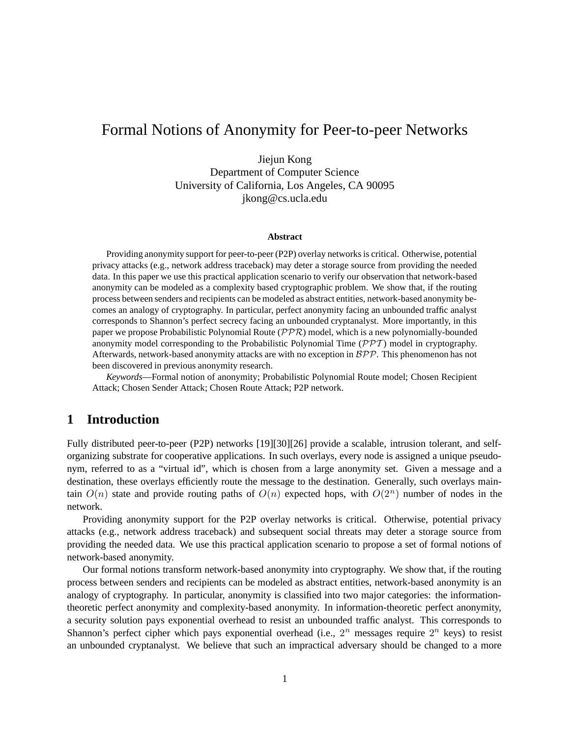# Formal Notions of Anonymity for Peer-to-peer Networks

Jiejun Kong Department of Computer Science University of California, Los Angeles, CA 90095 jkong@cs.ucla.edu

#### **Abstract**

Providing anonymity support for peer-to-peer (P2P) overlay networksis critical. Otherwise, potential privacy attacks (e.g., network address traceback) may deter a storage source from providing the needed data. In this paper we use this practical application scenario to verify our observation that network-based anonymity can be modeled as a complexity based cryptographic problem. We show that, if the routing process between senders and recipients can be modeled as abstract entities, network-based anonymity becomes an analogy of cryptography. In particular, perfect anonymity facing an unbounded traffic analyst corresponds to Shannon's perfect secrecy facing an unbounded cryptanalyst. More importantly, in this paper we propose Probabilistic Polynomial Route  $(\mathcal{PPR})$  model, which is a new polynomially-bounded anonymity model corresponding to the Probabilistic Polynomial Time  $(\mathcal{PPT})$  model in cryptography. Afterwards, network-based anonymity attacks are with no exception in  $BPP$ . This phenomenon has not been discovered in previous anonymity research.

*Keywords*—Formal notion of anonymity; Probabilistic Polynomial Route model; Chosen Recipient Attack; Chosen Sender Attack; Chosen Route Attack; P2P network.

## **1 Introduction**

Fully distributed peer-to-peer (P2P) networks [19][30][26] provide a scalable, intrusion tolerant, and selforganizing substrate for cooperative applications. In such overlays, every node is assigned a unique pseudonym, referred to as a "virtual id", which is chosen from a large anonymity set. Given a message and a destination, these overlays efficiently route the message to the destination. Generally, such overlays maintain  $O(n)$  state and provide routing paths of  $O(n)$  expected hops, with  $O(2^n)$  number of nodes in the network.

Providing anonymity support for the P2P overlay networks is critical. Otherwise, potential privacy attacks (e.g., network address traceback) and subsequent social threats may deter a storage source from providing the needed data. We use this practical application scenario to propose a set of formal notions of network-based anonymity.

Our formal notions transform network-based anonymity into cryptography. We show that, if the routing process between senders and recipients can be modeled as abstract entities, network-based anonymity is an analogy of cryptography. In particular, anonymity is classified into two major categories: the informationtheoretic perfect anonymity and complexity-based anonymity. In information-theoretic perfect anonymity, a security solution pays exponential overhead to resist an unbounded traffic analyst. This corresponds to Shannon's perfect cipher which pays exponential overhead (i.e.,  $2^n$  messages require  $2^n$  keys) to resist an unbounded cryptanalyst. We believe that such an impractical adversary should be changed to a more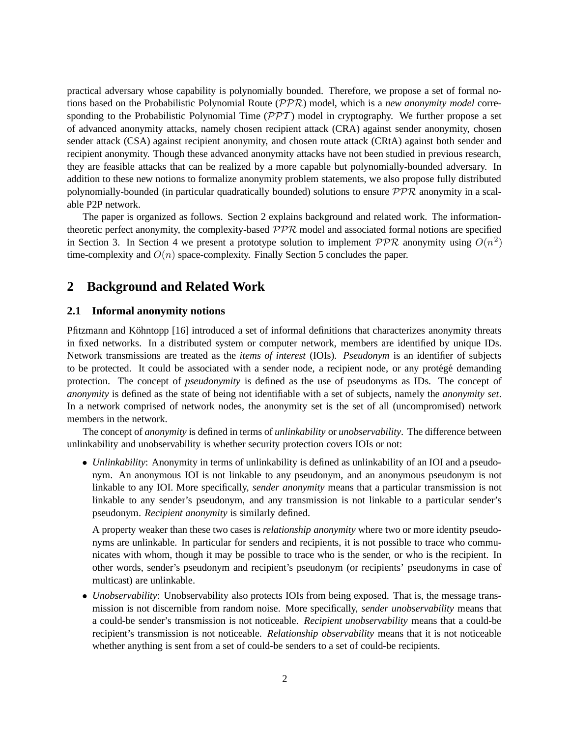practical adversary whose capability is polynomially bounded. Therefore, we propose a set of formal notions based on the Probabilistic Polynomial Route (PPR) model, which is a *new anonymity model* corresponding to the Probabilistic Polynomial Time  $(\mathcal{PPT})$  model in cryptography. We further propose a set of advanced anonymity attacks, namely chosen recipient attack (CRA) against sender anonymity, chosen sender attack (CSA) against recipient anonymity, and chosen route attack (CRtA) against both sender and recipient anonymity. Though these advanced anonymity attacks have not been studied in previous research, they are feasible attacks that can be realized by a more capable but polynomially-bounded adversary. In addition to these new notions to formalize anonymity problem statements, we also propose fully distributed polynomially-bounded (in particular quadratically bounded) solutions to ensure  $PPR$  anonymity in a scalable P2P network.

The paper is organized as follows. Section 2 explains background and related work. The informationtheoretic perfect anonymity, the complexity-based PPR model and associated formal notions are specified in Section 3. In Section 4 we present a prototype solution to implement  $PPR$  anonymity using  $O(n^2)$ time-complexity and  $O(n)$  space-complexity. Finally Section 5 concludes the paper.

# **2 Background and Related Work**

#### **2.1 Informal anonymity notions**

Pfitzmann and Köhntopp [16] introduced a set of informal definitions that characterizes anonymity threats in fixed networks. In a distributed system or computer network, members are identified by unique IDs. Network transmissions are treated as the *items of interest* (IOIs). *Pseudonym* is an identifier of subjects to be protected. It could be associated with a sender node, a recipient node, or any protégé demanding protection. The concept of *pseudonymity* is defined as the use of pseudonyms as IDs. The concept of *anonymity* is defined as the state of being not identifiable with a set of subjects, namely the *anonymity set*. In a network comprised of network nodes, the anonymity set is the set of all (uncompromised) network members in the network.

The concept of *anonymity* is defined in terms of *unlinkability* or *unobservability*. The difference between unlinkability and unobservability is whether security protection covers IOIs or not:

• *Unlinkability:* Anonymity in terms of unlinkability is defined as unlinkability of an IOI and a pseudonym. An anonymous IOI is not linkable to any pseudonym, and an anonymous pseudonym is not linkable to any IOI. More specifically, *sender anonymity* means that a particular transmission is not linkable to any sender's pseudonym, and any transmission is not linkable to a particular sender's pseudonym. *Recipient anonymity* is similarly defined.

A property weaker than these two cases is *relationship anonymity* where two or more identity pseudonyms are unlinkable. In particular for senders and recipients, it is not possible to trace who communicates with whom, though it may be possible to trace who is the sender, or who is the recipient. In other words, sender's pseudonym and recipient's pseudonym (or recipients' pseudonyms in case of multicast) are unlinkable.

• *Unobservability*: Unobservability also protects IOIs from being exposed. That is, the message transmission is not discernible from random noise. More specifically, *sender unobservability* means that a could-be sender's transmission is not noticeable. *Recipient unobservability* means that a could-be recipient's transmission is not noticeable. *Relationship observability* means that it is not noticeable whether anything is sent from a set of could-be senders to a set of could-be recipients.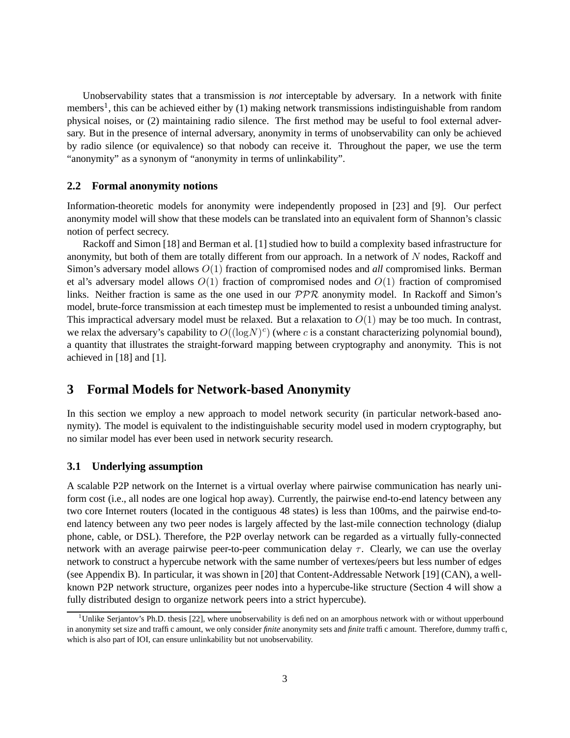Unobservability states that a transmission is *not* interceptable by adversary. In a network with finite members<sup>1</sup>, this can be achieved either by (1) making network transmissions indistinguishable from random physical noises, or (2) maintaining radio silence. The first method may be useful to fool external adversary. But in the presence of internal adversary, anonymity in terms of unobservability can only be achieved by radio silence (or equivalence) so that nobody can receive it. Throughout the paper, we use the term "anonymity" as a synonym of "anonymity in terms of unlinkability".

#### **2.2 Formal anonymity notions**

Information-theoretic models for anonymity were independently proposed in [23] and [9]. Our perfect anonymity model will show that these models can be translated into an equivalent form of Shannon's classic notion of perfect secrecy.

Rackoff and Simon [18] and Berman et al. [1] studied how to build a complexity based infrastructure for anonymity, but both of them are totally different from our approach. In a network of  $N$  nodes, Rackoff and Simon's adversary model allows O(1) fraction of compromised nodes and *all* compromised links. Berman et al's adversary model allows  $O(1)$  fraction of compromised nodes and  $O(1)$  fraction of compromised links. Neither fraction is same as the one used in our  $PPR$  anonymity model. In Rackoff and Simon's model, brute-force transmission at each timestep must be implemented to resist a unbounded timing analyst. This impractical adversary model must be relaxed. But a relaxation to  $O(1)$  may be too much. In contrast, we relax the adversary's capability to  $O((\log N)^c)$  (where c is a constant characterizing polynomial bound), a quantity that illustrates the straight-forward mapping between cryptography and anonymity. This is not achieved in [18] and [1].

### **3 Formal Models for Network-based Anonymity**

In this section we employ a new approach to model network security (in particular network-based anonymity). The model is equivalent to the indistinguishable security model used in modern cryptography, but no similar model has ever been used in network security research.

### **3.1 Underlying assumption**

A scalable P2P network on the Internet is a virtual overlay where pairwise communication has nearly uniform cost (i.e., all nodes are one logical hop away). Currently, the pairwise end-to-end latency between any two core Internet routers (located in the contiguous 48 states) is less than 100ms, and the pairwise end-toend latency between any two peer nodes is largely affected by the last-mile connection technology (dialup phone, cable, or DSL). Therefore, the P2P overlay network can be regarded as a virtually fully-connected network with an average pairwise peer-to-peer communication delay  $\tau$ . Clearly, we can use the overlay network to construct a hypercube network with the same number of vertexes/peers but less number of edges (see Appendix B). In particular, it was shown in [20] that Content-Addressable Network [19] (CAN), a wellknown P2P network structure, organizes peer nodes into a hypercube-like structure (Section 4 will show a fully distributed design to organize network peers into a strict hypercube).

 $1$ <sup>1</sup>Unlike Serjantov's Ph.D. thesis [22], where unobservability is defined on an amorphous network with or without upperbound in anonymity set size and traffic amount, we only consider *finite* anonymity sets and *finite* traffic amount. Therefore, dummy traffic, which is also part of IOI, can ensure unlinkability but not unobservability.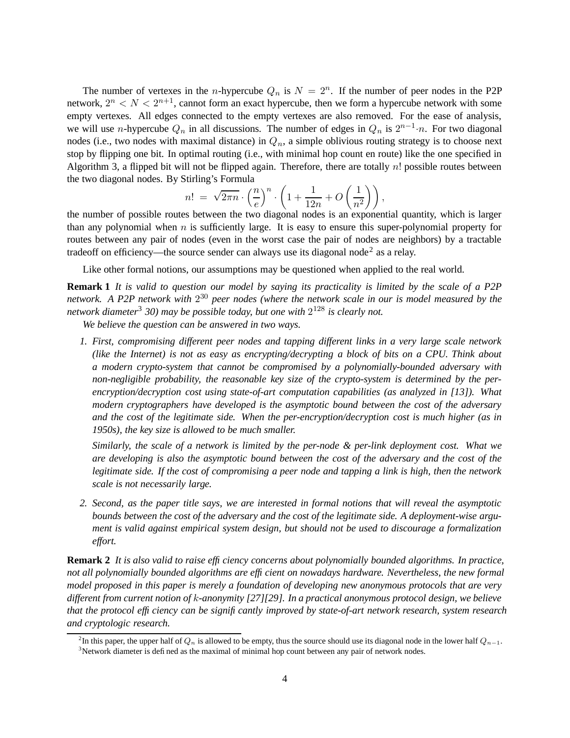The number of vertexes in the *n*-hypercube  $Q_n$  is  $N = 2^n$ . If the number of peer nodes in the P2P network,  $2^n < N < 2^{n+1}$ , cannot form an exact hypercube, then we form a hypercube network with some empty vertexes. All edges connected to the empty vertexes are also removed. For the ease of analysis, we will use *n*-hypercube  $Q_n$  in all discussions. The number of edges in  $Q_n$  is  $2^{n-1} \cdot n$ . For two diagonal nodes (i.e., two nodes with maximal distance) in  $Q_n$ , a simple oblivious routing strategy is to choose next stop by flipping one bit. In optimal routing (i.e., with minimal hop count en route) like the one specified in Algorithm 3, a flipped bit will not be flipped again. Therefore, there are totally  $n!$  possible routes between the two diagonal nodes. By Stirling's Formula

$$
n! = \sqrt{2\pi n} \cdot \left(\frac{n}{e}\right)^n \cdot \left(1 + \frac{1}{12n} + O\left(\frac{1}{n^2}\right)\right),
$$

the number of possible routes between the two diagonal nodes is an exponential quantity, which is larger than any polynomial when  $n$  is sufficiently large. It is easy to ensure this super-polynomial property for routes between any pair of nodes (even in the worst case the pair of nodes are neighbors) by a tractable tradeoff on efficiency—the source sender can always use its diagonal node<sup>2</sup> as a relay.

Like other formal notions, our assumptions may be questioned when applied to the real world.

**Remark 1** It is valid to question our model by saying its practicality is limited by the scale of a P2P network. A P2P network with  $2^{30}$  peer nodes (where the network scale in our is model measured by the *network diameter*<sup>3</sup> *30) may be possible today, but one with* 2 <sup>128</sup> *is clearly not.*

*We believe the question can be answered in two ways.*

*1. First, compromising different peer nodes and tapping different links in a very large scale network (like the Internet) is not as easy as encrypting/decrypting a block of bits on a CPU. Think about a modern crypto-system that cannot be compromised by a polynomially-bounded adversary with non-negligible probability, the reasonable key size of the crypto-system is determined by the perencryption/decryption cost using state-of-art computation capabilities (as analyzed in [13]). What modern cryptographers have developed is the asymptotic bound between the cost of the adversary and the cost of the legitimate side. When the per-encryption/decryption cost is much higher (as in 1950s), the key size is allowed to be much smaller.*

*Similarly, the scale of a network is limited by the per-node & per-link deployment cost. What we are developing is also the asymptotic bound between the cost of the adversary and the cost of the* legitimate side. If the cost of compromising a peer node and tapping a link is high, then the network *scale is not necessarily large.*

2. Second, as the paper title says, we are interested in formal notions that will reveal the asymptotic *bounds between the cost of the adversary and the cost of the legitimate side. A deployment-wise argument is valid against empirical system design, but should not be used to discourage a formalization effort.*

**Remark 2** *It is also valid to raise efficiency concerns about polynomially bounded algorithms. In practice, not all polynomially bounded algorithms are efficient on nowadays hardware. Nevertheless, the new formal model proposed in this paper is merely a foundation of developing new anonymous protocols that are very different from current notion of* k*-anonymity [27][29]. In a practical anonymous protocol design, we believe that the protocol efficiency can be significantly improved by state-of-art network research, system research and cryptologic research.*

<sup>&</sup>lt;sup>2</sup>In this paper, the upper half of  $Q_n$  is allowed to be empty, thus the source should use its diagonal node in the lower half  $Q_{n-1}$ . <sup>3</sup>Network diameter is defined as the maximal of minimal hop count between any pair of network nodes.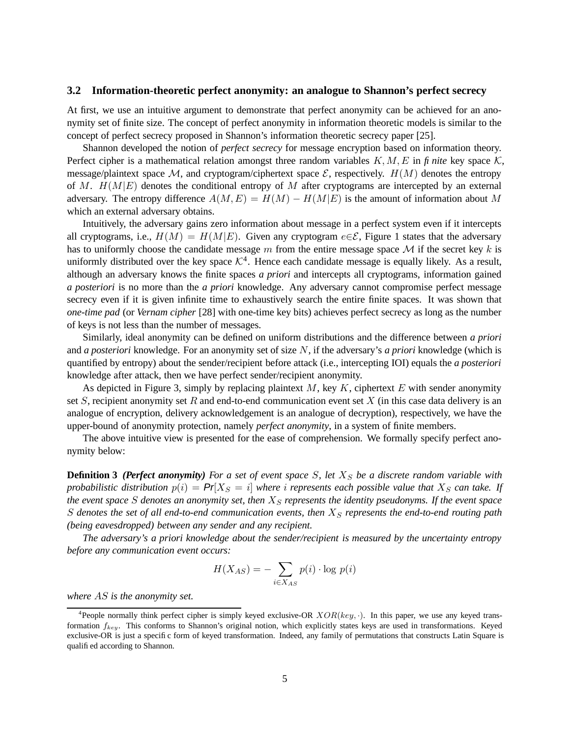#### **3.2 Information-theoretic perfect anonymity: an analogue to Shannon's perfect secrecy**

At first, we use an intuitive argument to demonstrate that perfect anonymity can be achieved for an anonymity set of finite size. The concept of perfect anonymity in information theoretic models is similar to the concept of perfect secrecy proposed in Shannon's information theoretic secrecy paper [25].

Shannon developed the notion of *perfect secrecy* for message encryption based on information theory. Perfect cipher is a mathematical relation amongst three random variables  $K, M, E$  in  $f$  *nite* key space  $K$ , message/plaintext space M, and cryptogram/ciphertext space  $\mathcal{E}$ , respectively.  $H(M)$  denotes the entropy of M.  $H(M|E)$  denotes the conditional entropy of M after cryptograms are intercepted by an external adversary. The entropy difference  $A(M, E) = H(M) - H(M|E)$  is the amount of information about M which an external adversary obtains.

Intuitively, the adversary gains zero information about message in a perfect system even if it intercepts all cryptograms, i.e.,  $H(M) = H(M|E)$ . Given any cryptogram  $e \in \mathcal{E}$ , Figure 1 states that the adversary has to uniformly choose the candidate message m from the entire message space  $\mathcal M$  if the secret key k is uniformly distributed over the key space  $K^4$ . Hence each candidate message is equally likely. As a result, although an adversary knows the finite spaces *a priori* and intercepts all cryptograms, information gained *a posteriori* is no more than the *a priori* knowledge. Any adversary cannot compromise perfect message secrecy even if it is given infinite time to exhaustively search the entire finite spaces. It was shown that *one-time pad* (or *Vernam cipher* [28] with one-time key bits) achieves perfect secrecy as long as the number of keys is not less than the number of messages.

Similarly, ideal anonymity can be defined on uniform distributions and the difference between *a priori* and *a posteriori* knowledge. For an anonymity set of size N, if the adversary's *a priori* knowledge (which is quantified by entropy) about the sender/recipient before attack (i.e., intercepting IOI) equals the *a posteriori* knowledge after attack, then we have perfect sender/recipient anonymity.

As depicted in Figure 3, simply by replacing plaintext  $M$ , key  $K$ , ciphertext  $E$  with sender anonymity set S, recipient anonymity set R and end-to-end communication event set X (in this case data delivery is an analogue of encryption, delivery acknowledgement is an analogue of decryption), respectively, we have the upper-bound of anonymity protection, namely *perfect anonymity*, in a system of finite members.

The above intuitive view is presented for the ease of comprehension. We formally specify perfect anonymity below:

**Definition 3** (Perfect anonymity) For a set of event space S, let  $X<sub>S</sub>$  be a discrete random variable with *probabilistic distribution*  $p(i) = Pr[X_S = i]$  *where i represents each possible value that*  $X_S$  *can take.* If *the* event space S denotes an anonymity set, then  $X<sub>S</sub>$  represents the identity pseudonyms. If the event space S denotes the set of all end-to-end communication events, then  $X<sub>S</sub>$  represents the end-to-end routing path *(being eavesdropped) between any sender and any recipient.*

*The adversary's a priori knowledge about the sender/recipient is measured by the uncertainty entropy before any communication event occurs:*

$$
H(X_{AS}) = -\sum_{i \in X_{AS}} p(i) \cdot \log p(i)
$$

*where* AS *is the anonymity set.*

<sup>&</sup>lt;sup>4</sup> People normally think perfect cipher is simply keyed exclusive-OR  $XOR(key, \cdot)$ . In this paper, we use any keyed transformation  $f_{key}$ . This conforms to Shannon's original notion, which explicitly states keys are used in transformations. Keyed exclusive-OR is just a specific form of keyed transformation. Indeed, any family of permutations that constructs Latin Square is qualified according to Shannon.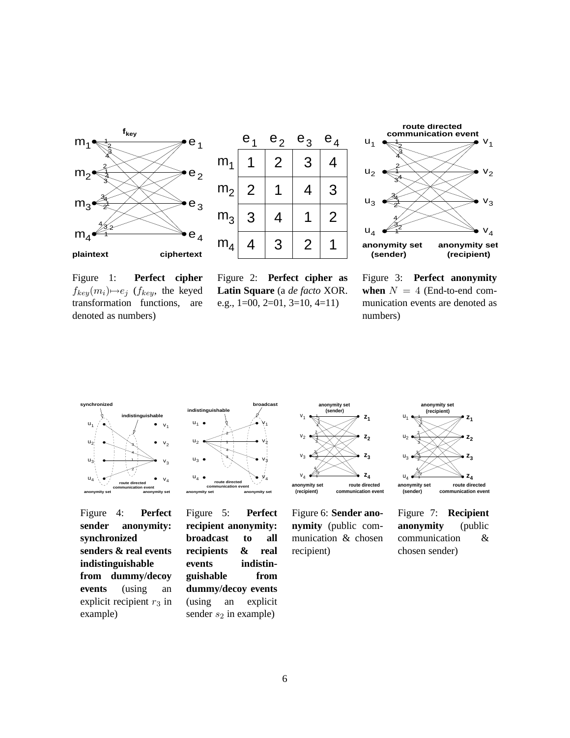





Figure 1: **Perfect cipher**  $f_{key}(m_i) \rightarrow e_j$  ( $f_{key}$ , the keyed transformation functions, are denoted as numbers)

Figure 2: **Perfect cipher as Latin Square** (a *de facto* XOR. e.g., 1=00, 2=01, 3=10, 4=11)

Figure 3: **Perfect anonymity when**  $N = 4$  (End-to-end communication events are denoted as numbers)



Figure 4: **Perfect sender anonymity: synchronized senders & real events indistinguishable from dummy/decoy events** (using an explicit recipient  $r_3$  in example)



Figure 5: **Perfect recipient anonymity: broadcast to all recipients & real events indistinguishable from dummy/decoy events** (using an explicit sender  $s_2$  in example)



Figure 6: **Sender anonymity** (public communication & chosen recipient)



Figure 7: **Recipient anonymity** (public communication & chosen sender)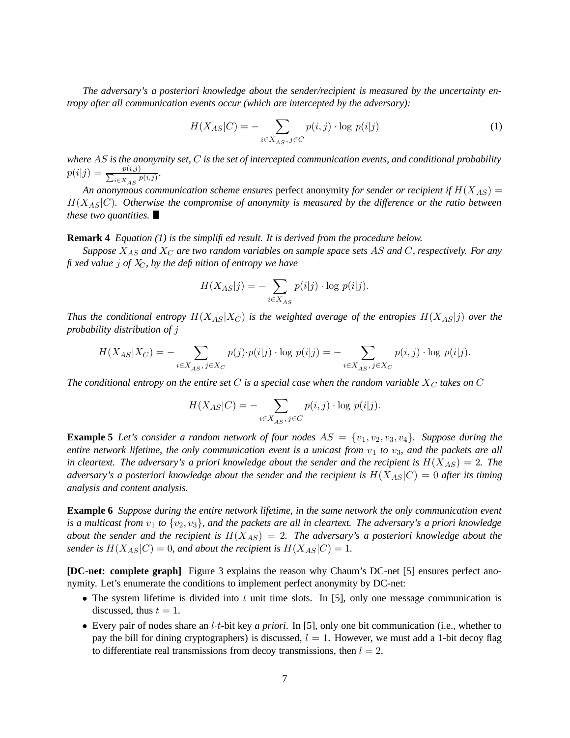*The adversary's a posteriori knowledge about the sender/recipient is measured by the uncertainty entropy after all communication events occur (which are intercepted by the adversary):*

$$
H(X_{AS}|C) = -\sum_{i \in X_{AS}, j \in C} p(i,j) \cdot \log p(i|j)
$$
 (1)

*where* AS *is the anonymity set,* C *is the set of intercepted communication events, and conditional probability*  $p(i|j) = \frac{p(i,j)}{\sum_{i \in X} j_i}$  $\frac{p(i,j)}{i \in X_{AS}} \frac{p(i,j)}{p(i,j)}.$ 

An anonymous communication scheme ensures perfect anonymity for sender or recipient if  $H(X_{AS}) =$  $H(X_{AS}|C)$ *. Otherwise the compromise of anonymity is measured by the difference or the ratio between these two quantities.*

#### **Remark 4** *Equation (1) is the simplified result. It is derived from the procedure below.*

*Suppose* XAS *and* X<sup>C</sup> *are two random variables on sample space sets* AS *and* C*, respectively. For any fixed value* j *of* XC*, by the definition of entropy we have*

$$
H(X_{AS}|j) = -\sum_{i \in X_{AS}} p(i|j) \cdot \log p(i|j).
$$

*Thus* the conditional entropy  $H(X_{AS}|X_C)$  is the weighted average of the entropies  $H(X_{AS}|j)$  over the *probability distribution of* j

$$
H(X_{AS}|X_C) = -\sum_{i \in X_{AS}, j \in X_C} p(j) \cdot p(i|j) \cdot \log p(i|j) = -\sum_{i \in X_{AS}, j \in X_C} p(i,j) \cdot \log p(i|j).
$$

*The* conditional entropy on the entire set C is a special case when the random variable  $X_C$  takes on C

$$
H(X_{AS}|C) = -\sum_{i \in X_{AS}, j \in C} p(i,j) \cdot \log p(i|j).
$$

**Example 5** Let's consider a random network of four nodes  $AS = \{v_1, v_2, v_3, v_4\}$ . Suppose during the entire network lifetime, the only communication event is a unicast from  $v_1$  to  $v_3$ , and the packets are all *in* cleartext. The adversary's a priori knowledge about the sender and the recipient is  $H(X_{AS}) = 2$ . The *adversary's a posteriori knowledge about the sender and the recipient is*  $H(X_{AS}|C) = 0$  *after its timing analysis and content analysis.*

**Example 6** *Suppose during the entire network lifetime, in the same network the only communication event* is a multicast from  $v_1$  to  $\{v_2, v_3\}$ , and the packets are all in cleartext. The adversary's a priori knowledge *about* the sender and the recipient is  $H(X_{AS}) = 2$ . The adversary's a posteriori knowledge about the *sender is*  $H(X_{AS}|C) = 0$ *, and about the recipient is*  $H(X_{AS}|C) = 1$ *.* 

**[DC-net: complete graph]** Figure 3 explains the reason why Chaum's DC-net [5] ensures perfect anonymity. Let's enumerate the conditions to implement perfect anonymity by DC-net:

- The system lifetime is divided into t unit time slots. In [5], only one message communication is discussed, thus  $t = 1$ .
- Every pair of nodes share an l·t-bit key *a priori*. In [5], only one bit communication (i.e., whether to pay the bill for dining cryptographers) is discussed,  $l = 1$ . However, we must add a 1-bit decoy flag to differentiate real transmissions from decoy transmissions, then  $l = 2$ .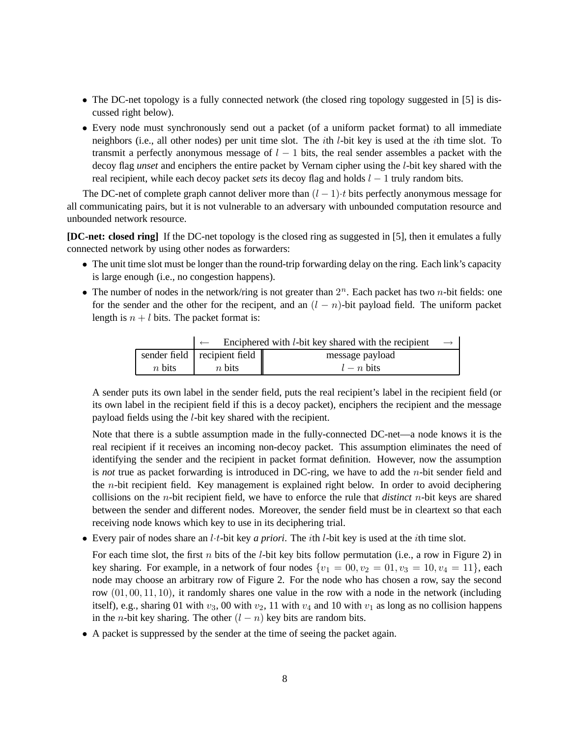- The DC-net topology is a fully connected network (the closed ring topology suggested in [5] is discussed right below).
- Every node must synchronously send out a packet (of a uniform packet format) to all immediate neighbors (i.e., all other nodes) per unit time slot. The ith l-bit key is used at the ith time slot. To transmit a perfectly anonymous message of  $l - 1$  bits, the real sender assembles a packet with the decoy flag *unset* and enciphers the entire packet by Vernam cipher using the l-bit key shared with the real recipient, while each decoy packet *sets* its decoy flag and holds  $l - 1$  truly random bits.

The DC-net of complete graph cannot deliver more than  $(l-1) \cdot t$  bits perfectly anonymous message for all communicating pairs, but it is not vulnerable to an adversary with unbounded computation resource and unbounded network resource.

**[DC-net: closed ring]** If the DC-net topology is the closed ring as suggested in [5], then it emulates a fully connected network by using other nodes as forwarders:

- The unit time slot must be longer than the round-trip forwarding delay on the ring. Each link's capacity is large enough (i.e., no congestion happens).
- The number of nodes in the network/ring is not greater than  $2^n$ . Each packet has two *n*-bit fields: one for the sender and the other for the recipent, and an  $(l - n)$ -bit payload field. The uniform packet length is  $n + l$  bits. The packet format is:

|          | Enciphered with <i>l</i> -bit key shared with the recipient |                 |  |  |  |  |
|----------|-------------------------------------------------------------|-----------------|--|--|--|--|
|          | sender field recipient field                                | message payload |  |  |  |  |
| $n$ bits | $n$ bits                                                    | $l - n$ bits    |  |  |  |  |

A sender puts its own label in the sender field, puts the real recipient's label in the recipient field (or its own label in the recipient field if this is a decoy packet), enciphers the recipient and the message payload fields using the l-bit key shared with the recipient.

Note that there is a subtle assumption made in the fully-connected DC-net—a node knows it is the real recipient if it receives an incoming non-decoy packet. This assumption eliminates the need of identifying the sender and the recipient in packet format definition. However, now the assumption is *not* true as packet forwarding is introduced in DC-ring, we have to add the n-bit sender field and the n-bit recipient field. Key management is explained right below. In order to avoid deciphering collisions on the n-bit recipient field, we have to enforce the rule that *distinct* n-bit keys are shared between the sender and different nodes. Moreover, the sender field must be in cleartext so that each receiving node knows which key to use in its deciphering trial.

• Every pair of nodes share an l·t-bit key *a priori*. The ith l-bit key is used at the ith time slot.

For each time slot, the first n bits of the *l*-bit key bits follow permutation (i.e., a row in Figure 2) in key sharing. For example, in a network of four nodes  $\{v_1 = 00, v_2 = 01, v_3 = 10, v_4 = 11\}$ , each node may choose an arbitrary row of Figure 2. For the node who has chosen a row, say the second row (01, 00, 11, 10), it randomly shares one value in the row with a node in the network (including itself), e.g., sharing 01 with  $v_3$ , 00 with  $v_2$ , 11 with  $v_4$  and 10 with  $v_1$  as long as no collision happens in the *n*-bit key sharing. The other  $(l - n)$  key bits are random bits.

• A packet is suppressed by the sender at the time of seeing the packet again.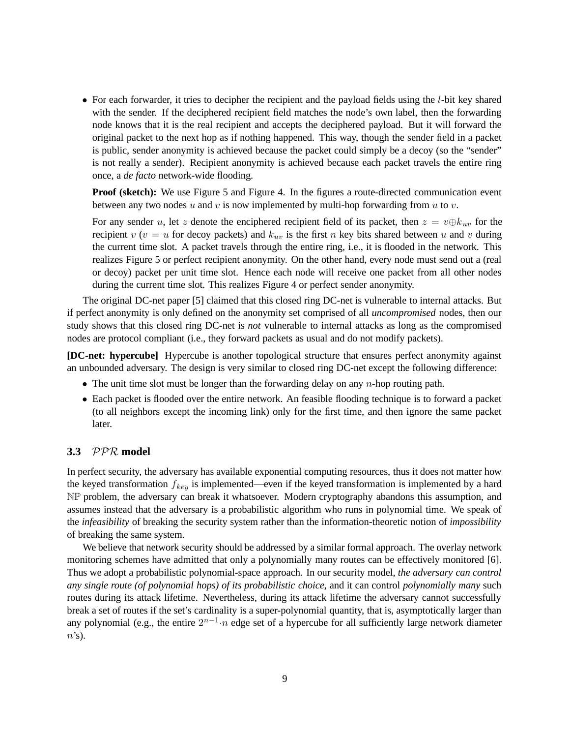• For each forwarder, it tries to decipher the recipient and the payload fields using the *l*-bit key shared with the sender. If the deciphered recipient field matches the node's own label, then the forwarding node knows that it is the real recipient and accepts the deciphered payload. But it will forward the original packet to the next hop as if nothing happened. This way, though the sender field in a packet is public, sender anonymity is achieved because the packet could simply be a decoy (so the "sender" is not really a sender). Recipient anonymity is achieved because each packet travels the entire ring once, a *de facto* network-wide flooding.

**Proof** (sketch): We use Figure 5 and Figure 4. In the figures a route-directed communication event between any two nodes u and v is now implemented by multi-hop forwarding from u to v.

For any sender u, let z denote the enciphered recipient field of its packet, then  $z = v \oplus k_{uv}$  for the recipient v ( $v = u$  for decoy packets) and  $k_{uv}$  is the first n key bits shared between u and v during the current time slot. A packet travels through the entire ring, i.e., it is flooded in the network. This realizes Figure 5 or perfect recipient anonymity. On the other hand, every node must send out a (real or decoy) packet per unit time slot. Hence each node will receive one packet from all other nodes during the current time slot. This realizes Figure 4 or perfect sender anonymity.

The original DC-net paper [5] claimed that this closed ring DC-net is vulnerable to internal attacks. But if perfect anonymity is only defined on the anonymity set comprised of all *uncompromised* nodes, then our study shows that this closed ring DC-net is *not* vulnerable to internal attacks as long as the compromised nodes are protocol compliant (i.e., they forward packets as usual and do not modify packets).

**[DC-net: hypercube]** Hypercube is another topological structure that ensures perfect anonymity against an unbounded adversary. The design is very similar to closed ring DC-net except the following difference:

- The unit time slot must be longer than the forwarding delay on any  $n$ -hop routing path.
- Each packet is flooded over the entire network. An feasible flooding technique is to forward a packet (to all neighbors except the incoming link) only for the first time, and then ignore the same packet later.

#### **3.3** PPR **model**

In perfect security, the adversary has available exponential computing resources, thus it does not matter how the keyed transformation  $f_{key}$  is implemented—even if the keyed transformation is implemented by a hard NP problem, the adversary can break it whatsoever. Modern cryptography abandons this assumption, and assumes instead that the adversary is a probabilistic algorithm who runs in polynomial time. We speak of the *infeasibility* of breaking the security system rather than the information-theoretic notion of *impossibility* of breaking the same system.

We believe that network security should be addressed by a similar formal approach. The overlay network monitoring schemes have admitted that only a polynomially many routes can be effectively monitored [6]. Thus we adopt a probabilistic polynomial-space approach. In our security model, *the adversary can control any single route (of polynomial hops) of its probabilistic choice*, and it can control *polynomially many* such routes during its attack lifetime. Nevertheless, during its attack lifetime the adversary cannot successfully break a set of routes if the set's cardinality is a super-polynomial quantity, that is, asymptotically larger than any polynomial (e.g., the entire  $2^{n-1} \cdot n$  edge set of a hypercube for all sufficiently large network diameter  $n$ 's).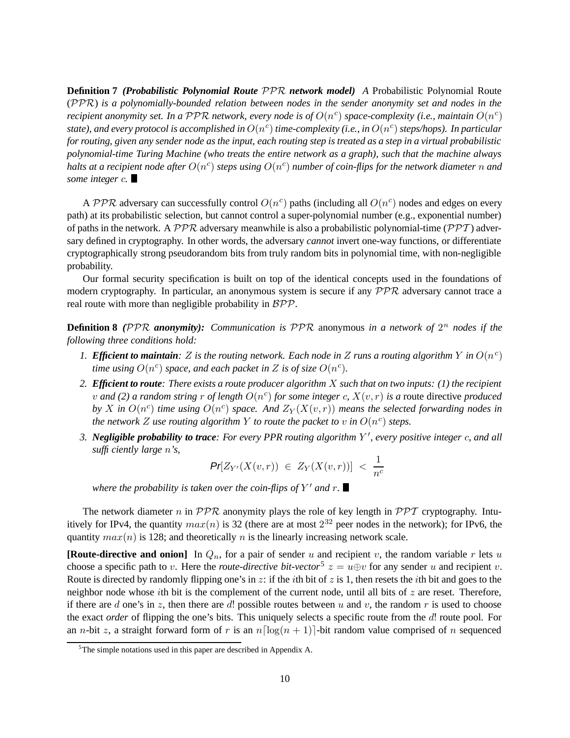**Definition 7** *(Probabilistic Polynomial Route* PPR *network model) A* Probabilistic Polynomial Route (PPR) *is a polynomially-bounded relation between nodes in the sender anonymity set and nodes in the recipient anonymity set. In a PPR network, every node is of*  $O(n^c)$  *space-complexity (i.e., maintain*  $O(n^c)$ *state), and every protocol is accomplished in* O(n c ) *time-complexity (i.e., in* O(n c ) *steps/hops). In particular* for routing, given any sender node as the input, each routing step is treated as a step in a virtual probabilistic *polynomial-time Turing Machine (who treats the entire network as a graph), such that the machine always halts at a recipient node after*  $O(n^c)$  *steps using*  $O(n^c)$  *<i>number of coin-flips for the network diameter*  $n$  *and some integer* c*.*

A PPR adversary can successfully control  $O(n^c)$  paths (including all  $O(n^c)$  nodes and edges on every path) at its probabilistic selection, but cannot control a super-polynomial number (e.g., exponential number) of paths in the network. A  $PPR$  adversary meanwhile is also a probabilistic polynomial-time ( $PPT$ ) adversary defined in cryptography. In other words, the adversary *cannot* invert one-way functions, or differentiate cryptographically strong pseudorandom bits from truly random bits in polynomial time, with non-negligible probability.

Our formal security specification is built on top of the identical concepts used in the foundations of modern cryptography. In particular, an anonymous system is secure if any  $PPR$  adversary cannot trace a real route with more than negligible probability in  $BPP$ .

**Definition 8** *(*PPR *anonymity): Communication is* PPR anonymous *in a network of* 2 <sup>n</sup> *nodes if the following three conditions hold:*

- 1. *Efficient to maintain:* Z is the routing network. Each node in Z runs a routing algorithm Y in  $O(n^c)$ *time using*  $O(n^c)$  *space, and each packet in*  $Z$  *is of size*  $O(n^c)$ *.*
- 2. Efficient to route: There exists a route producer algorithm  $X$  such that on two inputs: (1) the recipient v and (2) a random string r of length  $O(n^c)$  for some integer c,  $X(v,r)$  is a route directive produced by X in  $O(n^c)$  *time using*  $O(n^c)$  *space.* And  $Z_Y(X(v,r))$  *means the selected forwarding nodes in the network*  $Z$  *use routing algorithm*  $Y$  *to route the packet to*  $v$  *in*  $O(n^c)$  *steps.*
- 3. Negligible probability to trace: For every PPR routing algorithm Y', every positive integer c, and all *sufficiently large* n*'s,*

$$
\Pr[Z_{Y'}(X(v,r)) \in Z_Y(X(v,r))] < \frac{1}{n^c}
$$

where the probability is taken over the coin-flips of  $Y'$  and  $r$ .

The network diameter n in  $PPR$  anonymity plays the role of key length in  $PPT$  cryptography. Intuitively for IPv4, the quantity  $max(n)$  is 32 (there are at most  $2^{32}$  peer nodes in the network); for IPv6, the quantity  $max(n)$  is 128; and theoretically n is the linearly increasing network scale.

**[Route-directive and onion]** In  $Q_n$ , for a pair of sender u and recipient v, the random variable r lets u choose a specific path to v. Here the *route-directive bit-vector*<sup>5</sup>  $z = u \oplus v$  for any sender u and recipient v. Route is directed by randomly flipping one's in z: if the *i*th bit of z is 1, then resets the *i*th bit and goes to the neighbor node whose *i*th bit is the complement of the current node, until all bits of  $z$  are reset. Therefore, if there are d one's in z, then there are d! possible routes between u and v, the random r is used to choose the exact *order* of flipping the one's bits. This uniquely selects a specific route from the d! route pool. For an *n*-bit z, a straight forward form of r is an  $n \lceil \log(n + 1) \rceil$ -bit random value comprised of n sequenced

<sup>&</sup>lt;sup>5</sup>The simple notations used in this paper are described in Appendix A.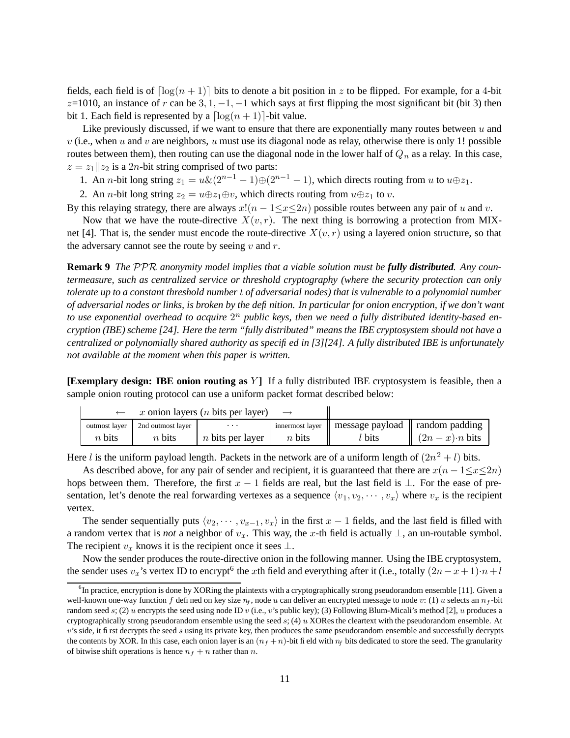fields, each field is of  $\lceil \log(n + 1) \rceil$  bits to denote a bit position in z to be flipped. For example, for a 4-bit  $z=1010$ , an instance of r can be  $3, 1, -1, -1$  which says at first flipping the most significant bit (bit 3) then bit 1. Each field is represented by a  $\lceil \log(n + 1) \rceil$ -bit value.

Like previously discussed, if we want to ensure that there are exponentially many routes between  $u$  and  $v$  (i.e., when u and v are neighbors, u must use its diagonal node as relay, otherwise there is only 1! possible routes between them), then routing can use the diagonal node in the lower half of  $Q_n$  as a relay. In this case,  $z = z_1 || z_2$  is a 2*n*-bit string comprised of two parts:

1. An *n*-bit long string  $z_1 = u\&(2^{n-1}-1)\oplus(2^{n-1}-1)$ , which directs routing from u to  $u\oplus z_1$ .

2. An *n*-bit long string  $z_2 = u \oplus z_1 \oplus v$ , which directs routing from  $u \oplus z_1$  to *v*.

By this relaying strategy, there are always  $x!(n - 1 \le x \le 2n)$  possible routes between any pair of u and v.

Now that we have the route-directive  $X(v, r)$ . The next thing is borrowing a protection from MIXnet [4]. That is, the sender must encode the route-directive  $X(v, r)$  using a layered onion structure, so that the adversary cannot see the route by seeing  $v$  and  $r$ .

**Remark 9** *The* PPR *anonymity model implies that a viable solution must be fully distributed. Any countermeasure, such as centralized service or threshold cryptography (where the security protection can only* tolerate up to a constant threshold number t of adversarial nodes) that is vulnerable to a polynomial number of adversarial nodes or links, is broken by the definition. In particular for onion encryption, if we don't want *to use exponential overhead to acquire* 2 <sup>n</sup> *public keys, then we need a fully distributed identity-based en*cryption (IBE) scheme [24]. Here the term "fully distributed" means the IBE cryptosystem should not have a *centralized or polynomially shared authority as specified in [3][24]. A fully distributed IBE is unfortunately not available at the moment when this paper is written.*

**[Exemplary design: IBE onion routing as** Y **]** If a fully distributed IBE cryptosystem is feasible, then a sample onion routing protocol can use a uniform packet format described below:

|               | x onion layers ( <i>n</i> bits per layer) |                         |          |                                                      |               |
|---------------|-------------------------------------------|-------------------------|----------|------------------------------------------------------|---------------|
| outmost laver | 2nd outmost layer                         | $\cdots$                |          | innermost layer    message payload    random padding |               |
| $n$ bits      | $n$ bits                                  | <i>n</i> bits per layer | $n$ bits | $\iota$ bits                                         | $(2n-x)$ bits |

Here *l* is the uniform payload length. Packets in the network are of a uniform length of  $(2n^2 + l)$  bits.

As described above, for any pair of sender and recipient, it is guaranteed that there are  $x(n - 1 \le x \le 2n)$ hops between them. Therefore, the first  $x - 1$  fields are real, but the last field is  $\perp$ . For the ease of presentation, let's denote the real forwarding vertexes as a sequence  $\langle v_1, v_2, \dots, v_x \rangle$  where  $v_x$  is the recipient vertex.

The sender sequentially puts  $\langle v_2, \dots, v_{x-1}, v_x \rangle$  in the first  $x - 1$  fields, and the last field is filled with a random vertex that is *not* a neighbor of  $v_x$ . This way, the x-th field is actually  $\perp$ , an un-routable symbol. The recipient  $v_x$  knows it is the recipient once it sees  $\perp$ .

Now the sender produces the route-directive onion in the following manner. Using the IBE cryptosystem, the sender uses  $v_x$ 's vertex ID to encrypt<sup>6</sup> the xth field and everything after it (i.e., totally  $(2n-x+1) \cdot n+l$ 

 ${}^{6}$ In practice, encryption is done by XORing the plaintexts with a cryptographically strong pseudorandom ensemble [11]. Given a well-known one-way function f defined on key size  $n_f$ , node u can deliver an encrypted message to node v: (1) u selects an  $n_f$ -bit random seed s; (2) u encrypts the seed using node ID v (i.e., v's public key); (3) Following Blum-Micali's method [2], u produces a cryptographically strong pseudorandom ensemble using the seed  $s$ ; (4)  $u$  XORes the cleartext with the pseudorandom ensemble. At  $v$ 's side, it first decrypts the seed  $s$  using its private key, then produces the same pseudorandom ensemble and successfully decrypts the contents by XOR. In this case, each onion layer is an  $(n_f + n)$ -bit field with  $n_f$  bits dedicated to store the seed. The granularity of bitwise shift operations is hence  $n_f + n$  rather than n.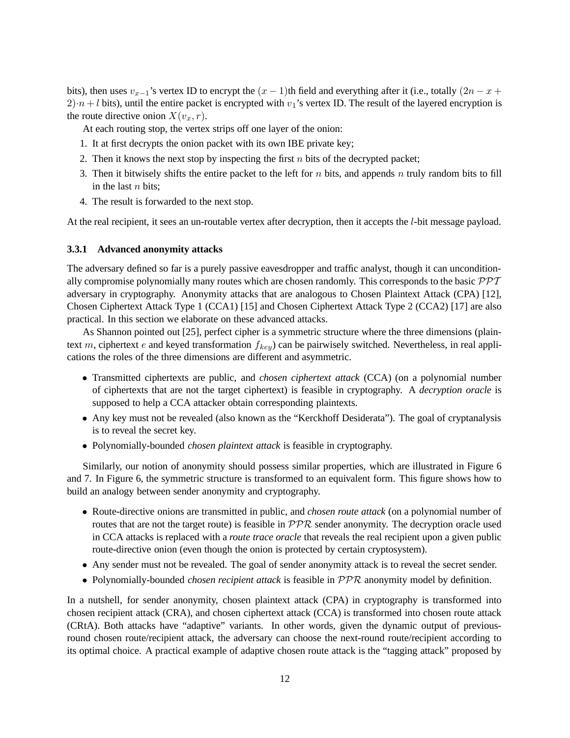bits), then uses  $v_{x-1}$ 's vertex ID to encrypt the  $(x - 1)$ th field and everything after it (i.e., totally  $(2n - x + 1)$  $2) \cdot n + l$  bits), until the entire packet is encrypted with  $v_1$ 's vertex ID. The result of the layered encryption is the route directive onion  $X(v_x, r)$ .

At each routing stop, the vertex strips off one layer of the onion:

- 1. It at first decrypts the onion packet with its own IBE private key;
- 2. Then it knows the next stop by inspecting the first  $n$  bits of the decrypted packet;
- 3. Then it bitwisely shifts the entire packet to the left for  $n$  bits, and appends  $n$  truly random bits to fill in the last  $n$  bits;
- 4. The result is forwarded to the next stop.

At the real recipient, it sees an un-routable vertex after decryption, then it accepts the l-bit message payload.

#### **3.3.1 Advanced anonymity attacks**

The adversary defined so far is a purely passive eavesdropper and traffic analyst, though it can unconditionally compromise polynomially many routes which are chosen randomly. This corresponds to the basic  $\mathcal{PPT}$ adversary in cryptography. Anonymity attacks that are analogous to Chosen Plaintext Attack (CPA) [12], Chosen Ciphertext Attack Type 1 (CCA1) [15] and Chosen Ciphertext Attack Type 2 (CCA2) [17] are also practical. In this section we elaborate on these advanced attacks.

As Shannon pointed out [25], perfect cipher is a symmetric structure where the three dimensions (plaintext m, ciphertext e and keyed transformation  $f_{key}$ ) can be pairwisely switched. Nevertheless, in real applications the roles of the three dimensions are different and asymmetric.

- Transmitted ciphertexts are public, and *chosen ciphertext attack* (CCA) (on a polynomial number of ciphertexts that are not the target ciphertext) is feasible in cryptography. A *decryption oracle* is supposed to help a CCA attacker obtain corresponding plaintexts.
- Any key must not be revealed (also known as the "Kerckhoff Desiderata"). The goal of cryptanalysis is to reveal the secret key.
- Polynomially-bounded *chosen plaintext attack* is feasible in cryptography.

Similarly, our notion of anonymity should possess similar properties, which are illustrated in Figure 6 and 7. In Figure 6, the symmetric structure is transformed to an equivalent form. This figure shows how to build an analogy between sender anonymity and cryptography.

- Route-directive onions are transmitted in public, and *chosen route attack* (on a polynomial number of routes that are not the target route) is feasible in  $\mathcal{PPR}$  sender anonymity. The decryption oracle used in CCA attacks is replaced with a *route trace oracle* that reveals the real recipient upon a given public route-directive onion (even though the onion is protected by certain cryptosystem).
- Any sender must not be revealed. The goal of sender anonymity attack is to reveal the secret sender.
- Polynomially-bounded *chosen recipient attack* is feasible in PPR anonymity model by definition.

In a nutshell, for sender anonymity, chosen plaintext attack (CPA) in cryptography is transformed into chosen recipient attack (CRA), and chosen ciphertext attack (CCA) is transformed into chosen route attack (CRtA). Both attacks have "adaptive" variants. In other words, given the dynamic output of previousround chosen route/recipient attack, the adversary can choose the next-round route/recipient according to its optimal choice. A practical example of adaptive chosen route attack is the "tagging attack" proposed by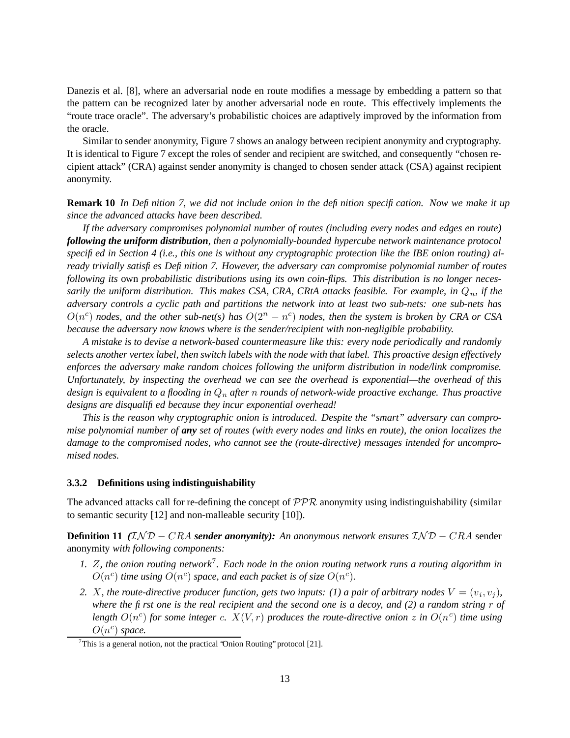Danezis et al. [8], where an adversarial node en route modifies a message by embedding a pattern so that the pattern can be recognized later by another adversarial node en route. This effectively implements the "route trace oracle". The adversary's probabilistic choices are adaptively improved by the information from the oracle.

Similar to sender anonymity, Figure 7 shows an analogy between recipient anonymity and cryptography. It is identical to Figure 7 except the roles of sender and recipient are switched, and consequently "chosen recipient attack" (CRA) against sender anonymity is changed to chosen sender attack (CSA) against recipient anonymity.

**Remark 10** In Definition 7, we did not include onion in the definition specification. Now we make it up *since the advanced attacks have been described.*

*If the adversary compromises polynomial number of routes (including every nodes and edges en route) following the uniform distribution, then a polynomially-bounded hypercube network maintenance protocol* specified in Section 4 (i.e., this one is without any cryptographic protection like the IBE onion routing) al*ready trivially satisfies Definition 7. However, the adversary can compromise polynomial number of routes following its* own *probabilistic distributions using its own coin-flips. This distribution is no longer necessarily the uniform distribution.* This makes CSA, CRA, CRtA *attacks feasible.* For example, in  $Q_n$ , if the *adversary controls a cyclic path and partitions the network into at least two sub-nets: one sub-nets has*  $O(n^c)$  *nodes, and the other sub-net(s) has*  $O(2^n - n^c)$  *nodes, then the system is broken by CRA or CSA because the adversary now knows where is the sender/recipient with non-negligible probability.*

*A mistake is to devise a network-based countermeasure like this: every node periodically and randomly* selects another vertex label, then switch labels with the node with that label. This proactive design effectively *enforces the adversary make random choices following the uniform distribution in node/link compromise. Unfortunately, by inspecting the overhead we can see the overhead is exponential—the overhead of this design is equivalent to a flooding in* Q<sup>n</sup> *after* n *rounds of network-wide proactive exchange. Thus proactive designs are disqualified because they incur exponential overhead!*

*This is the reason why cryptographic onion is introduced. Despite the "smart" adversary can compro*mise polynomial number of any set of routes (with every nodes and links en route), the onion localizes the *damage to the compromised nodes, who cannot see the (route-directive) messages intended for uncompromised nodes.*

#### **3.3.2 Definitions using indistinguishability**

The advanced attacks call for re-defining the concept of  $PPR$  anonymity using indistinguishability (similar to semantic security [12] and non-malleable security [10]).

**Definition 11** *(*IN D − CRA *sender anonymity): An anonymous network ensures* IN D − CRA sender anonymity *with following components:*

- 1. Z, the onion routing network<sup>7</sup>. Each node in the onion routing network runs a routing algorithm in  $O(n^c)$  *time using*  $O(n^c)$  *space, and each packet is of size*  $O(n^c)$ *.*
- 2. *X*, the route-directive producer function, gets two inputs: (1) a pair of arbitrary nodes  $V = (v_i, v_j)$ , where the first one is the real recipient and the second one is a decoy, and  $(2)$  a random string r of length  $O(n^c)$  for some integer c.  $X(V,r)$  produces the route-directive onion z in  $O(n^c)$  time using  $O(n^c)$  space.

<sup>&</sup>lt;sup>7</sup>This is a general notion, not the practical 'Onion Routing' protocol [21].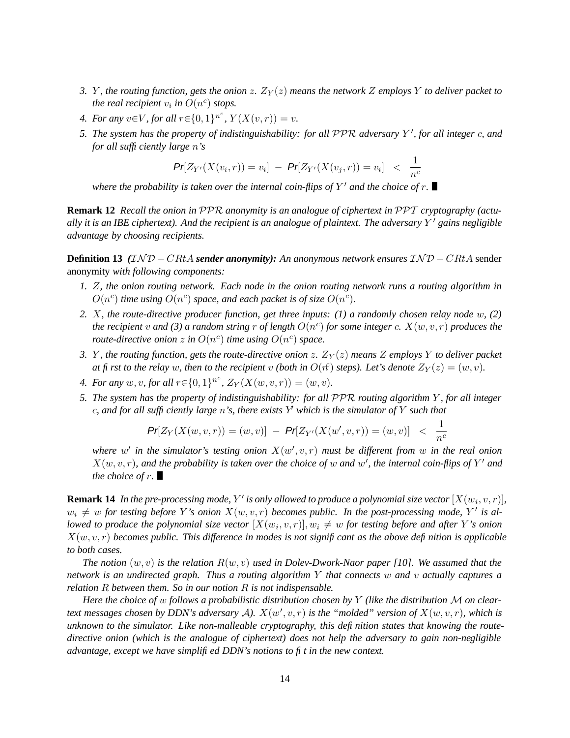- *3. Y*, *the routing function, gets the onion* z.  $Z_Y(z)$  *means the network* Z *employs* Y *to deliver packet to the real recipient*  $v_i$  *in*  $O(n^c)$  *stops.*
- *4. For any*  $v \in V$ *, for all*  $r \in \{0,1\}^{n^c}$ ,  $Y(X(v,r)) = v$ *.*
- 5. The system has the property of indistinguishability: for all PPR adversary  $Y'$ , for all integer  $c$ , and *for all sufficiently large* n*'s*

$$
\Pr[Z_{Y'}(X(v_i,r)) = v_i] - \Pr[Z_{Y'}(X(v_j,r)) = v_i] < \frac{1}{n^c}
$$

*where the probability is taken over the internal coin-flips of* Y <sup>0</sup> *and the choice of* r*.*

**Remark 12** *Recall the onion in* PPR *anonymity is an analogue of ciphertext in* PPT *cryptography (actu*ally it is an IBE ciphertext). And the recipient is an analogue of plaintext. The adversary  $Y'$  gains negligible *advantage by choosing recipients.*

**Definition 13** *(*IN D − CRtA *sender anonymity): An anonymous network ensures* IN D − CRtA sender anonymity *with following components:*

- 1. Z, the onion routing network. Each node in the onion routing network runs a routing algorithm in  $O(n^c)$  *time using*  $O(n^c)$  *space, and each packet is of size*  $O(n^c)$ *.*
- *2.* X*, the route-directive producer function, get three inputs: (1) a randomly chosen relay node* w*, (2) the recipient* v and (3) a random string r of length  $O(n^c)$  for some integer c.  $X(w, v, r)$  produces the *route-directive onion*  $z$  in  $O(n^c)$  *time using*  $O(n^c)$  *space.*
- *3. Y*, *the routing function, gets the route-directive onion z.*  $Z_Y(z)$  *<i>means* Z *employs* Y *to deliver packet at fi* rst to the relay w, then to the recipient v (both in  $O(\hat{r})$  steps). Let's denote  $Z_Y(z) = (w, v)$ .
- *4. For any*  $w, v$ , *for all*  $r \in \{0, 1\}^{n^c}$ ,  $Z_Y(X(w, v, r)) = (w, v)$ .
- *5. The system has the property of indistinguishability: for all* PPR *routing algorithm* Y *, for all integer* c, and for all sufficiently large n's, there exists Y which is the simulator of Y such that

$$
\mathsf{Pr}[Z_Y(X(w,v,r)) = (w,v)] - \mathsf{Pr}[Z_{Y'}(X(w',v,r)) = (w,v)] < \frac{1}{n^c}
$$

where  $w'$  in the simulator's testing onion  $X(w', v, r)$  must be different from  $w$  in the real onion  $X(w, v, r)$ , and the probability is taken over the choice of w and w', the internal coin-flips of Y' and *the choice of* r*.*

**Remark 14** In the pre-processing mode, Y' is only allowed to produce a polynomial size vector  $[X(w_i, v, r)]$ ,  $w_i \neq w$  *for testing before* Y's *onion*  $X(w, v, r)$  *becomes public. In the post-processing mode,* Y' *is allowed to produce the polynomial size vector*  $[X(w_i, v, r)]$ ,  $w_i \neq w$  *for testing before and after* Y's *onion*  $X(w, v, r)$  *becomes public. This difference in modes is not significant as the above definition is applicable to both cases.*

*The notion* (w, v) *is the relation* R(w, v) *used in Dolev-Dwork-Naor paper [10]. We assumed that the network is an undirected graph. Thus a routing algorithm* Y *that connects* w *and* v *actually captures a relation* R *between them. So in our notion* R *is not indispensable.*

*Here the choice of* w *follows a probabilistic distribution chosen by* Y *(like the distribution* M *on cleartext* messages chosen by DDN's adversary  $A$ ).  $X(w', v, r)$  is the "molded" version of  $X(w, v, r)$ , which is *unknown to the simulator. Like non-malleable cryptography, this definition states that knowing the routedirective onion (which is the analogue of ciphertext) does not help the adversary to gain non-negligible advantage, except we have simplified DDN's notions to fit in the new context.*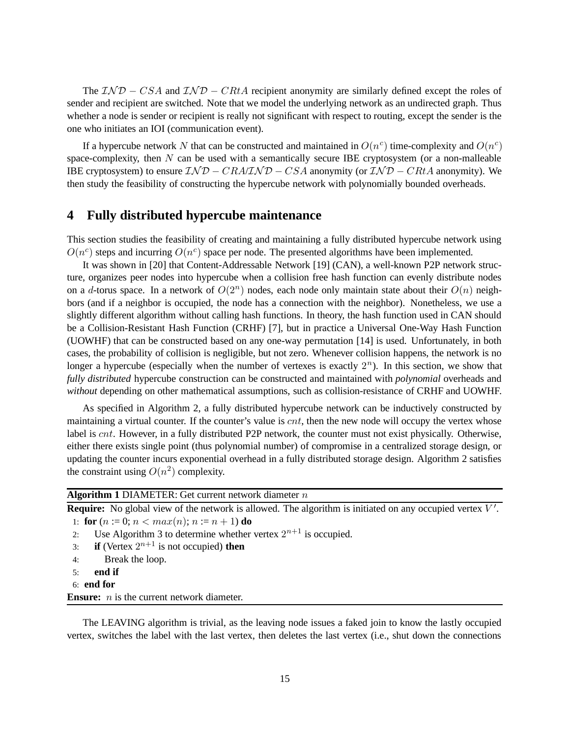The  $\mathcal{IND} - \mathcal{CS}A$  and  $\mathcal{IND} - \mathcal{CH}A$  recipient anonymity are similarly defined except the roles of sender and recipient are switched. Note that we model the underlying network as an undirected graph. Thus whether a node is sender or recipient is really not significant with respect to routing, except the sender is the one who initiates an IOI (communication event).

If a hypercube network N that can be constructed and maintained in  $O(n^c)$  time-complexity and  $O(n^c)$ space-complexity, then  $N$  can be used with a semantically secure IBE cryptosystem (or a non-malleable IBE cryptosystem) to ensure  $\mathcal{IND} - \mathcal{CRA} \mathcal{IND} - \mathcal{CS}A$  anonymity (or  $\mathcal{IND} - \mathcal{CRA}A$  anonymity). We then study the feasibility of constructing the hypercube network with polynomially bounded overheads.

### **4 Fully distributed hypercube maintenance**

This section studies the feasibility of creating and maintaining a fully distributed hypercube network using  $O(n^c)$  steps and incurring  $O(n^c)$  space per node. The presented algorithms have been implemented.

It was shown in [20] that Content-Addressable Network [19] (CAN), a well-known P2P network structure, organizes peer nodes into hypercube when a collision free hash function can evenly distribute nodes on a d-torus space. In a network of  $O(2^n)$  nodes, each node only maintain state about their  $O(n)$  neighbors (and if a neighbor is occupied, the node has a connection with the neighbor). Nonetheless, we use a slightly different algorithm without calling hash functions. In theory, the hash function used in CAN should be a Collision-Resistant Hash Function (CRHF) [7], but in practice a Universal One-Way Hash Function (UOWHF) that can be constructed based on any one-way permutation [14] is used. Unfortunately, in both cases, the probability of collision is negligible, but not zero. Whenever collision happens, the network is no longer a hypercube (especially when the number of vertexes is exactly  $2<sup>n</sup>$ ). In this section, we show that *fully distributed* hypercube construction can be constructed and maintained with *polynomial* overheads and *without* depending on other mathematical assumptions, such as collision-resistance of CRHF and UOWHF.

As specified in Algorithm 2, a fully distributed hypercube network can be inductively constructed by maintaining a virtual counter. If the counter's value is  $cnt$ , then the new node will occupy the vertex whose label is cnt. However, in a fully distributed P2P network, the counter must not exist physically. Otherwise, either there exists single point (thus polynomial number) of compromise in a centralized storage design, or updating the counter incurs exponential overhead in a fully distributed storage design. Algorithm 2 satisfies the constraint using  $O(n^2)$  complexity.

### **Algorithm 1** DIAMETER: Get current network diameter n

**Require:** No global view of the network is allowed. The algorithm is initiated on any occupied vertex V'.

1: **for**  $(n := 0; n < max(n); n := n + 1)$  **do** 

- 2: Use Algorithm 3 to determine whether vertex  $2^{n+1}$  is occupied.
- 3: **if** (Vertex  $2^{n+1}$  is not occupied) **then**
- 4: Break the loop.
- 5: **end if**
- 6: **end for**

**Ensure:** *n* is the current network diameter.

The LEAVING algorithm is trivial, as the leaving node issues a faked join to know the lastly occupied vertex, switches the label with the last vertex, then deletes the last vertex (i.e., shut down the connections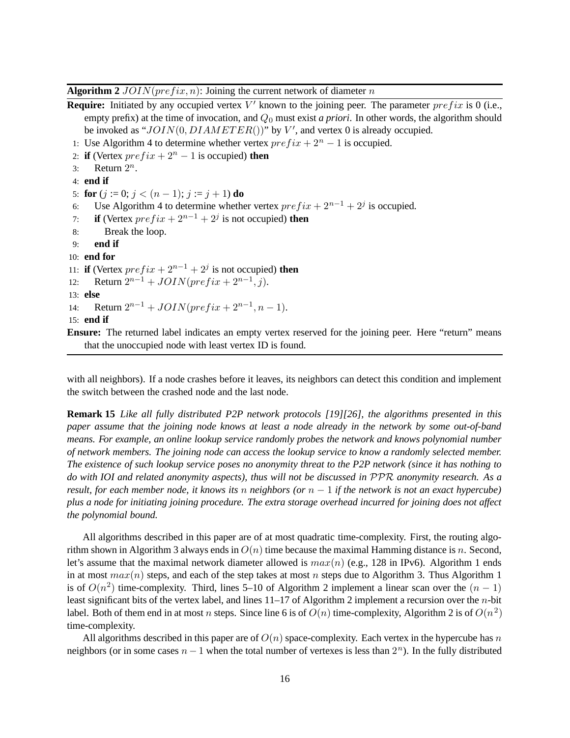**Algorithm 2**  $JOIN(prefix, n)$ : Joining the current network of diameter n

**Require:** Initiated by any occupied vertex  $V'$  known to the joining peer. The parameter  $prefix$  is 0 (i.e., empty prefix) at the time of invocation, and  $Q_0$  must exist *a priori*. In other words, the algorithm should be invoked as " $JOIN(0, DIAMETER()$ " by V', and vertex 0 is already occupied.

- 1: Use Algorithm 4 to determine whether vertex  $prefix + 2<sup>n</sup> 1$  is occupied.
- 2: **if** (Vertex  $prefix + 2<sup>n</sup> 1$  is occupied) **then**
- 3: Return  $2^n$ .
- 4: **end if**

5: **for**  $(j := 0; j < (n-1); j := j + 1)$  **do** 

- 6: Use Algorithm 4 to determine whether vertex  $prefix + 2^{n-1} + 2^j$  is occupied.
- 7: **if** (Vertex  $prefix + 2^{n-1} + 2^j$  is not occupied) **then**
- 8: Break the loop.
- 9: **end if**
- 10: **end for**

11: **if** (Vertex  $prefix + 2^{n-1} + 2^j$  is not occupied) **then** 

- 12: Return  $2^{n-1} + JOIN(prefix + 2^{n-1}, j)$ .
- 13: **else**

```
14: Return 2^{n-1} + JOIN(prefix + 2^{n-1}, n-1).
```

```
15: end if
```
**Ensure:** The returned label indicates an empty vertex reserved for the joining peer. Here "return" means that the unoccupied node with least vertex ID is found.

with all neighbors). If a node crashes before it leaves, its neighbors can detect this condition and implement the switch between the crashed node and the last node.

**Remark 15** *Like all fully distributed P2P network protocols [19][26], the algorithms presented in this* paper assume that the joining node knows at least a node already in the network by some out-of-band *means. For example, an online lookup service randomly probes the network and knows polynomial number of network members. The joining node can access the lookup service to know a randomly selected member.* The existence of such lookup service poses no anonymity threat to the P2P network (since it has nothing to *do with IOI and related anonymity aspects), thus will not be discussed in* PPR *anonymity research. As a* result, for each member node, it knows its n neighbors (or  $n-1$  if the network is not an exact hypercube) plus a node for initiating joining procedure. The extra storage overhead incurred for joining does not affect *the polynomial bound.*

All algorithms described in this paper are of at most quadratic time-complexity. First, the routing algorithm shown in Algorithm 3 always ends in  $O(n)$  time because the maximal Hamming distance is n. Second, let's assume that the maximal network diameter allowed is  $max(n)$  (e.g., 128 in IPv6). Algorithm 1 ends in at most  $max(n)$  steps, and each of the step takes at most n steps due to Algorithm 3. Thus Algorithm 1 is of  $O(n^2)$  time-complexity. Third, lines 5–10 of Algorithm 2 implement a linear scan over the  $(n-1)$ least significant bits of the vertex label, and lines 11–17 of Algorithm 2 implement a recursion over the n-bit label. Both of them end in at most n steps. Since line 6 is of  $O(n)$  time-complexity, Algorithm 2 is of  $O(n^2)$ time-complexity.

All algorithms described in this paper are of  $O(n)$  space-complexity. Each vertex in the hypercube has n neighbors (or in some cases  $n-1$  when the total number of vertexes is less than  $2<sup>n</sup>$ ). In the fully distributed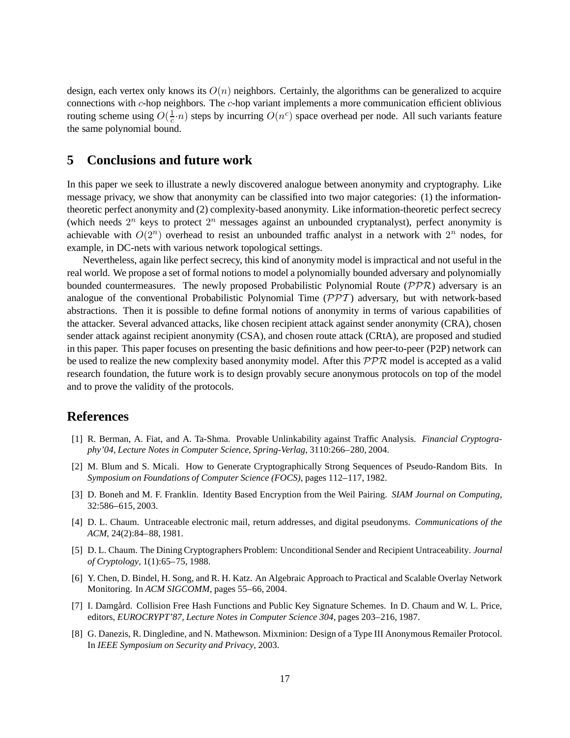design, each vertex only knows its  $O(n)$  neighbors. Certainly, the algorithms can be generalized to acquire connections with  $c$ -hop neighbors. The  $c$ -hop variant implements a more communication efficient oblivious routing scheme using  $O(\frac{1}{c} \cdot n)$  steps by incurring  $O(n^c)$  space overhead per node. All such variants feature the same polynomial bound.

### **5 Conclusions and future work**

In this paper we seek to illustrate a newly discovered analogue between anonymity and cryptography. Like message privacy, we show that anonymity can be classified into two major categories: (1) the informationtheoretic perfect anonymity and (2) complexity-based anonymity. Like information-theoretic perfect secrecy (which needs  $2^n$  keys to protect  $2^n$  messages against an unbounded cryptanalyst), perfect anonymity is achievable with  $O(2^n)$  overhead to resist an unbounded traffic analyst in a network with  $2^n$  nodes, for example, in DC-nets with various network topological settings.

Nevertheless, again like perfect secrecy, this kind of anonymity model is impractical and not useful in the real world. We propose a set of formal notions to model a polynomially bounded adversary and polynomially bounded countermeasures. The newly proposed Probabilistic Polynomial Route  $(\mathcal{PPR})$  adversary is an analogue of the conventional Probabilistic Polynomial Time  $(\mathcal{PPT})$  adversary, but with network-based abstractions. Then it is possible to define formal notions of anonymity in terms of various capabilities of the attacker. Several advanced attacks, like chosen recipient attack against sender anonymity (CRA), chosen sender attack against recipient anonymity (CSA), and chosen route attack (CRtA), are proposed and studied in this paper. This paper focuses on presenting the basic definitions and how peer-to-peer (P2P) network can be used to realize the new complexity based anonymity model. After this  $\mathcal{PPR}$  model is accepted as a valid research foundation, the future work is to design provably secure anonymous protocols on top of the model and to prove the validity of the protocols.

### **References**

- [1] R. Berman, A. Fiat, and A. Ta-Shma. Provable Unlinkability against Traffic Analysis. *Financial Cryptography'04, Lecture Notes in Computer Science, Spring-Verlag*, 3110:266–280, 2004.
- [2] M. Blum and S. Micali. How to Generate Cryptographically Strong Sequences of Pseudo-Random Bits. In *Symposium on Foundations of Computer Science (FOCS)*, pages 112–117, 1982.
- [3] D. Boneh and M. F. Franklin. Identity Based Encryption from the Weil Pairing. *SIAM Journal on Computing*, 32:586–615, 2003.
- [4] D. L. Chaum. Untraceable electronic mail, return addresses, and digital pseudonyms. *Communications of the ACM*, 24(2):84–88, 1981.
- [5] D. L. Chaum. The Dining Cryptographers Problem: Unconditional Sender and Recipient Untraceability. *Journal of Cryptology*, 1(1):65–75, 1988.
- [6] Y. Chen, D. Bindel, H. Song, and R. H. Katz. An Algebraic Approach to Practical and Scalable Overlay Network Monitoring. In *ACM SIGCOMM*, pages 55–66, 2004.
- [7] I. Damgård. Collision Free Hash Functions and Public Key Signature Schemes. In D. Chaum and W. L. Price, editors, *EUROCRYPT'87, Lecture Notes in Computer Science 304*, pages 203–216, 1987.
- [8] G. Danezis, R. Dingledine, and N. Mathewson. Mixminion: Design of a Type III Anonymous Remailer Protocol. In *IEEE Symposium on Security and Privacy*, 2003.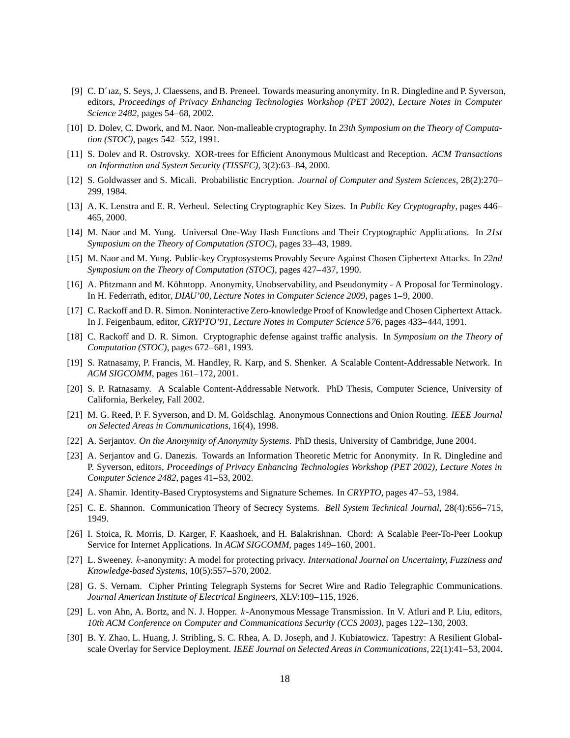- [9] C. D´ıaz, S. Seys, J. Claessens, and B. Preneel. Towards measuring anonymity. In R. Dingledine and P. Syverson, editors, *Proceedings of Privacy Enhancing Technologies Workshop (PET 2002), Lecture Notes in Computer Science 2482*, pages 54–68, 2002.
- [10] D. Dolev, C. Dwork, and M. Naor. Non-malleable cryptography. In *23th Symposium on the Theory of Computation (STOC)*, pages 542–552, 1991.
- [11] S. Dolev and R. Ostrovsky. XOR-trees for Efficient Anonymous Multicast and Reception. *ACM Transactions on Information and System Security (TISSEC)*, 3(2):63–84, 2000.
- [12] S. Goldwasser and S. Micali. Probabilistic Encryption. *Journal of Computer and System Sciences*, 28(2):270– 299, 1984.
- [13] A. K. Lenstra and E. R. Verheul. Selecting Cryptographic Key Sizes. In *Public Key Cryptography*, pages 446– 465, 2000.
- [14] M. Naor and M. Yung. Universal One-Way Hash Functions and Their Cryptographic Applications. In *21st Symposium on the Theory of Computation (STOC)*, pages 33–43, 1989.
- [15] M. Naor and M. Yung. Public-key Cryptosystems Provably Secure Against Chosen Ciphertext Attacks. In *22nd Symposium on the Theory of Computation (STOC)*, pages 427–437, 1990.
- [16] A. Pfitzmann and M. Köhntopp. Anonymity, Unobservability, and Pseudonymity A Proposal for Terminology. In H. Federrath, editor, *DIAU'00, Lecture Notes in Computer Science 2009*, pages 1–9, 2000.
- [17] C. Rackoff and D. R. Simon. Noninteractive Zero-knowledge Proof of Knowledge and Chosen Ciphertext Attack. In J. Feigenbaum, editor, *CRYPTO'91, Lecture Notes in Computer Science 576*, pages 433–444, 1991.
- [18] C. Rackoff and D. R. Simon. Cryptographic defense against traffic analysis. In *Symposium on the Theory of Computation (STOC)*, pages 672–681, 1993.
- [19] S. Ratnasamy, P. Francis, M. Handley, R. Karp, and S. Shenker. A Scalable Content-Addressable Network. In *ACM SIGCOMM*, pages 161–172, 2001.
- [20] S. P. Ratnasamy. A Scalable Content-Addressable Network. PhD Thesis, Computer Science, University of California, Berkeley, Fall 2002.
- [21] M. G. Reed, P. F. Syverson, and D. M. Goldschlag. Anonymous Connections and Onion Routing. *IEEE Journal on Selected Areas in Communications*, 16(4), 1998.
- [22] A. Serjantov. *On the Anonymity of Anonymity Systems*. PhD thesis, University of Cambridge, June 2004.
- [23] A. Serjantov and G. Danezis. Towards an Information Theoretic Metric for Anonymity. In R. Dingledine and P. Syverson, editors, *Proceedings of Privacy Enhancing Technologies Workshop (PET 2002), Lecture Notes in Computer Science 2482*, pages 41–53, 2002.
- [24] A. Shamir. Identity-Based Cryptosystems and Signature Schemes. In *CRYPTO*, pages 47–53, 1984.
- [25] C. E. Shannon. Communication Theory of Secrecy Systems. *Bell System Technical Journal*, 28(4):656–715, 1949.
- [26] I. Stoica, R. Morris, D. Karger, F. Kaashoek, and H. Balakrishnan. Chord: A Scalable Peer-To-Peer Lookup Service for Internet Applications. In *ACM SIGCOMM*, pages 149–160, 2001.
- [27] L. Sweeney. k-anonymity: A model for protecting privacy. *International Journal on Uncertainty, Fuzziness and Knowledge-based Systems*, 10(5):557–570, 2002.
- [28] G. S. Vernam. Cipher Printing Telegraph Systems for Secret Wire and Radio Telegraphic Communications. *Journal American Institute of Electrical Engineers*, XLV:109–115, 1926.
- [29] L. von Ahn, A. Bortz, and N. J. Hopper. k-Anonymous Message Transmission. In V. Atluri and P. Liu, editors, *10th ACM Conference on Computer and Communications Security (CCS 2003)*, pages 122–130, 2003.
- [30] B. Y. Zhao, L. Huang, J. Stribling, S. C. Rhea, A. D. Joseph, and J. Kubiatowicz. Tapestry: A Resilient Globalscale Overlay for Service Deployment. *IEEE Journal on Selected Areas in Communications*, 22(1):41–53, 2004.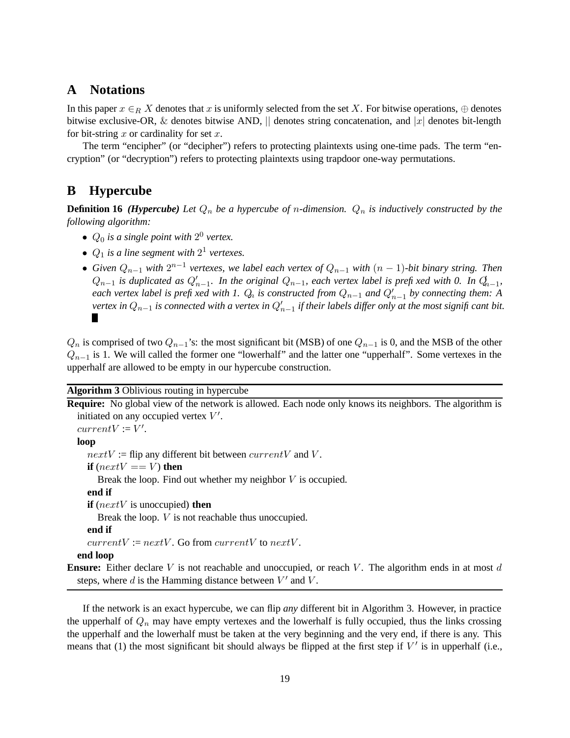# **A Notations**

In this paper  $x \in_R X$  denotes that x is uniformly selected from the set X. For bitwise operations,  $\oplus$  denotes bitwise exclusive-OR, & denotes bitwise AND,  $\parallel$  denotes string concatenation, and  $\vert x \vert$  denotes bit-length for bit-string  $x$  or cardinality for set  $x$ .

The term "encipher" (or "decipher") refers to protecting plaintexts using one-time pads. The term "encryption" (or "decryption") refers to protecting plaintexts using trapdoor one-way permutations.

# **B Hypercube**

**Definition 16** *(Hypercube)* Let  $Q_n$  *be a hypercube of n-dimension.*  $Q_n$  *is inductively constructed by the following algorithm:*

- $Q_0$  *is a single point with*  $2^0$  *vertex.*
- $Q_1$  *is a line segment with*  $2^1$  *vertexes.*
- *Given* Qn−<sup>1</sup> *with* 2 n−1 *vertexes, we label each vertex of* Qn−<sup>1</sup> *with* (n − 1)*-bit binary string. Then*  $Q_{n-1}$  *is duplicated as*  $Q'_{n-1}$ *. In the original*  $Q_{n-1}$ *, each vertex label is prefixed with* 0. In  $Q_{n-1}$ *, each vertex label is prefixed with 1.*  $Q_n$  *is constructed from*  $Q_{n-1}$  *and*  $Q'_{n-1}$  *by connecting them: A* vertex in  $Q_{n-1}$  is connected with a vertex in  $Q_{n-1}'$  if their labels differ only at the most signifi cant bit. П

 $Q_n$  is comprised of two  $Q_{n-1}$ 's: the most significant bit (MSB) of one  $Q_{n-1}$  is 0, and the MSB of the other  $Q_{n-1}$  is 1. We will called the former one "lowerhalf" and the latter one "upperhalf". Some vertexes in the upperhalf are allowed to be empty in our hypercube construction.

**Algorithm 3** Oblivious routing in hypercube

**Require:** No global view of the network is allowed. Each node only knows its neighbors. The algorithm is initiated on any occupied vertex  $V'$ .  $currentV := V'.$ **loop**  $nextV :=$  flip any different bit between  $currentV$  and V. **if** ( $nextV == V$ ) **then** Break the loop. Find out whether my neighbor  $V$  is occupied. **end if if** (nextV is unoccupied) **then** Break the loop. V is not reachable thus unoccupied. **end if**  $currentV := nextV$ . Go from  $currentV$  to  $nextV$ . **end loop Ensure:** Either declare V is not reachable and unoccupied, or reach V. The algorithm ends in at most d steps, where  $d$  is the Hamming distance between  $V'$  and  $V$ .

If the network is an exact hypercube, we can flip *any* different bit in Algorithm 3. However, in practice the upperhalf of  $Q_n$  may have empty vertexes and the lowerhalf is fully occupied, thus the links crossing the upperhalf and the lowerhalf must be taken at the very beginning and the very end, if there is any. This means that (1) the most significant bit should always be flipped at the first step if  $V'$  is in upperhalf (i.e.,